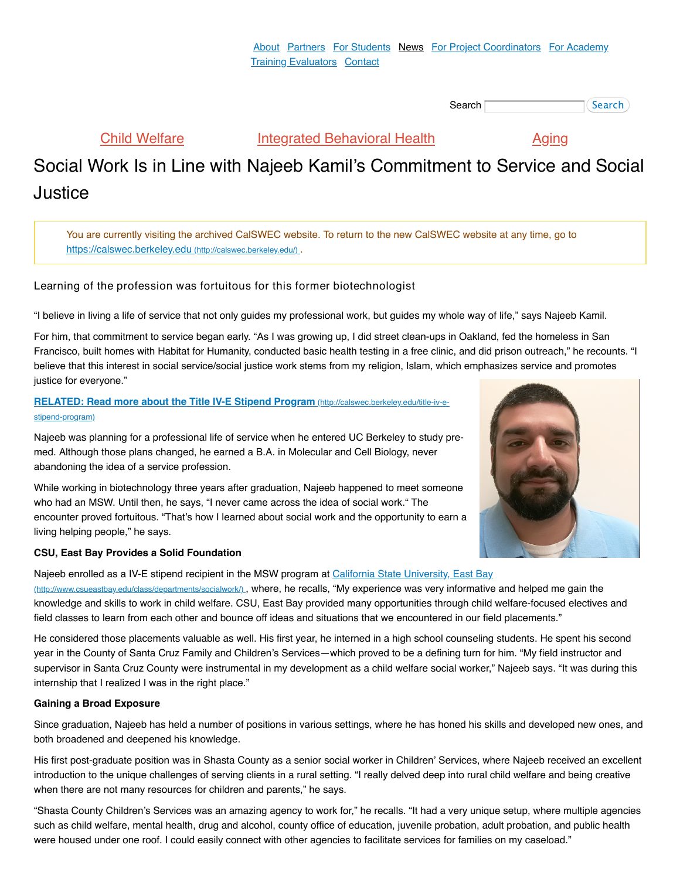Search **Search** (Search)

[Child Welfare](https://calswec-archive.berkeley.edu/child-welfare) **[Integrated Behavioral Health](https://calswec-archive.berkeley.edu/integrated-behavioral-health-program)** [Aging](https://calswec-archive.berkeley.edu/aging)

# Social Work Is in Line with Najeeb Kamil's Commitment to Service and Social Justice

You are currently visiting the archived CalSWEC website. To return to the new CalSWEC website at any time, go to [https://calswec.berkeley.edu](http://calswec.berkeley.edu/) (http://calswec.berkeley.edu/).

# Learning of the profession was fortuitous for this former biotechnologist

"I believe in living a life of service that not only guides my professional work, but guides my whole way of life," says Najeeb Kamil.

For him, that commitment to service began early. "As I was growing up, I did street clean-ups in Oakland, fed the homeless in San Francisco, built homes with Habitat for Humanity, conducted basic health testing in a free clinic, and did prison outreach," he recounts. "I believe that this interest in social service/social justice work stems from my religion, Islam, which emphasizes service and promotes justice for everyone."

## **[RELATED: Read more about the Title IV-E Stipend Program](http://calswec.berkeley.edu/title-iv-e-stipend-program)** (http://calswec.berkeley.edu/title-iv-estipend-program)

Najeeb was planning for a professional life of service when he entered UC Berkeley to study premed. Although those plans changed, he earned a B.A. in Molecular and Cell Biology, never abandoning the idea of a service profession.

While working in biotechnology three years after graduation, Najeeb happened to meet someone who had an MSW. Until then, he says, "I never came across the idea of social work." The encounter proved fortuitous. "That's how I learned about social work and the opportunity to earn a living helping people," he says.

### **CSU, East Bay Provides a Solid Foundation**

[Najeeb enrolled as a IV-E stipend recipient in the MSW program at California State University, East Bay](http://www.csueastbay.edu/class/departments/socialwork/) (http://www.csueastbay.edu/class/departments/socialwork/) , where, he recalls, "My experience was very informative and helped me gain the knowledge and skills to work in child welfare. CSU, East Bay provided many opportunities through child welfare-focused electives and field classes to learn from each other and bounce off ideas and situations that we encountered in our field placements."

He considered those placements valuable as well. His first year, he interned in a high school counseling students. He spent his second year in the County of Santa Cruz Family and Children's Services—which proved to be a defining turn for him. "My field instructor and supervisor in Santa Cruz County were instrumental in my development as a child welfare social worker," Najeeb says. "It was during this internship that I realized I was in the right place."

### **Gaining a Broad Exposure**

Since graduation, Najeeb has held a number of positions in various settings, where he has honed his skills and developed new ones, and both broadened and deepened his knowledge.

His first post-graduate position was in Shasta County as a senior social worker in Children' Services, where Najeeb received an excellent introduction to the unique challenges of serving clients in a rural setting. "I really delved deep into rural child welfare and being creative when there are not many resources for children and parents," he says.

"Shasta County Children's Services was an amazing agency to work for," he recalls. "It had a very unique setup, where multiple agencies such as child welfare, mental health, drug and alcohol, county office of education, juvenile probation, adult probation, and public health were housed under one roof. I could easily connect with other agencies to facilitate services for families on my caseload."